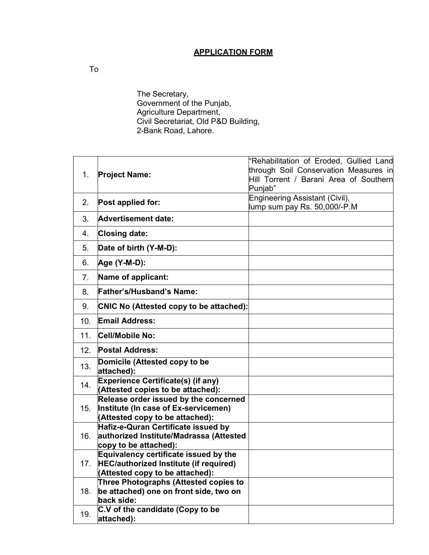## APPLICATION FORM

The Secretary, Government of the Punjab, Agriculture Department, Civil Secretariat, Old P&D Building, 2-Bank Road, Lahore.

| 1.  |                                                                                 | "Rehabilitation of Eroded, Gullied Land |  |  |  |
|-----|---------------------------------------------------------------------------------|-----------------------------------------|--|--|--|
|     | <b>Project Name:</b>                                                            | through Soil Conservation Measures in   |  |  |  |
|     |                                                                                 | Hill Torrent / Barani Area of Southern  |  |  |  |
|     |                                                                                 | Punjab"                                 |  |  |  |
| 2.  | Post applied for:                                                               | Engineering Assistant (Civil),          |  |  |  |
|     |                                                                                 | lump sum pay Rs. 50,000/-P.M            |  |  |  |
| 3.  | Advertisement date:                                                             |                                         |  |  |  |
| 4.  | <b>Closing date:</b>                                                            |                                         |  |  |  |
| 5.  | Date of birth (Y-M-D):                                                          |                                         |  |  |  |
| 6.  | Age (Y-M-D):                                                                    |                                         |  |  |  |
| 7.  | Name of applicant:                                                              |                                         |  |  |  |
| 8.  | <b>Father's/Husband's Name:</b>                                                 |                                         |  |  |  |
| 9.  | <b>CNIC No (Attested copy to be attached):</b>                                  |                                         |  |  |  |
| 10. | <b>Email Address:</b>                                                           |                                         |  |  |  |
| 11. | Cell/Mobile No:                                                                 |                                         |  |  |  |
| 12. | <b>Postal Address:</b>                                                          |                                         |  |  |  |
| 13. | Domicile (Attested copy to be                                                   |                                         |  |  |  |
|     | attached):                                                                      |                                         |  |  |  |
| 14. | <b>Experience Certificate(s) (if any)</b><br>(Attested copies to be attached):  |                                         |  |  |  |
| 15. | Release order issued by the concerned                                           |                                         |  |  |  |
|     | Institute (In case of Ex-servicemen)                                            |                                         |  |  |  |
|     | (Attested copy to be attached):                                                 |                                         |  |  |  |
| 16. | Hafiz-e-Quran Certificate issued by                                             |                                         |  |  |  |
|     | authorized Institute/Madrassa (Attested                                         |                                         |  |  |  |
|     | copy to be attached):                                                           |                                         |  |  |  |
| 17. | Equivalency certificate issued by the<br>HEC/authorized Institute (if required) |                                         |  |  |  |
|     | (Attested copy to be attached):                                                 |                                         |  |  |  |
|     | <b>Three Photographs (Attested copies to</b>                                    |                                         |  |  |  |
| 18. | be attached) one on front side, two on                                          |                                         |  |  |  |
|     | back side:                                                                      |                                         |  |  |  |
|     | C.V of the candidate (Copy to be                                                |                                         |  |  |  |
| 19. | attached):                                                                      |                                         |  |  |  |

To